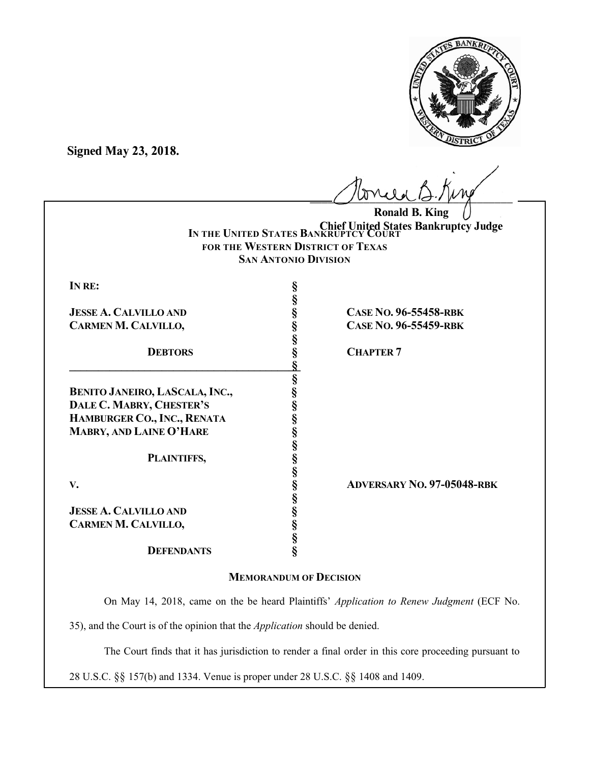

**Signed May 23, 2018.**

| Mondel 12.1 ps |  |
|----------------|--|
|                |  |

**IN THE UNITED STATES BANKRUPTCY COURT Chief United States Bankruptcy JudgeFOR THE WESTERN DISTRICT OF TEXAS SAN ANTONIO DIVISION Ronald B. King**

| IN RE: |  |
|--------|--|
|        |  |
|        |  |

**JESSE A. CALVILLO AND § CASE NO. 96-55458-RBK CARMEN M. CALVILLO, § CASE NO. 96-55459-RBK**

**\_\_\_\_\_\_\_\_\_\_\_\_\_\_\_\_\_\_\_\_\_\_\_\_\_\_\_\_\_\_\_\_\_\_\_\_\_\_\_§\_**

**BENITO JANEIRO, LASCALA, INC., § DALE C. MABRY, CHESTER'S § HAMBURGER CO., INC., RENATA § MABRY, AND LAINE O'HARE §**

**PLAINTIFFS, §**

**JESSE A. CALVILLO AND § CARMEN M. CALVILLO, §**

# **DEFENDANTS §**

**8 CHAPTER 7** 

**V. § ADVERSARY NO. 97-05048-RBK**

# **MEMORANDUM OF DECISION**

**§**

**§**

**§**

**§**

**§**

**§**

On May 14, 2018, came on the be heard Plaintiffs' *Application to Renew Judgment* (ECF No.

35), and the Court is of the opinion that the *Application* should be denied.

The Court finds that it has jurisdiction to render a final order in this core proceeding pursuant to

28 U.S.C. §§ 157(b) and 1334. Venue is proper under 28 U.S.C. §§ 1408 and 1409.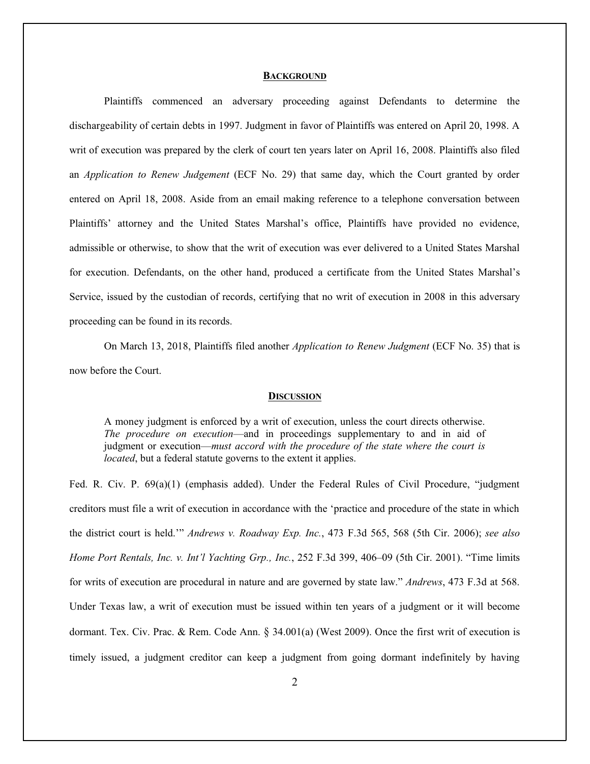### **BACKGROUND**

Plaintiffs commenced an adversary proceeding against Defendants to determine the dischargeability of certain debts in 1997. Judgment in favor of Plaintiffs was entered on April 20, 1998. A writ of execution was prepared by the clerk of court ten years later on April 16, 2008. Plaintiffs also filed an *Application to Renew Judgement* (ECF No. 29) that same day, which the Court granted by order entered on April 18, 2008. Aside from an email making reference to a telephone conversation between Plaintiffs' attorney and the United States Marshal's office, Plaintiffs have provided no evidence, admissible or otherwise, to show that the writ of execution was ever delivered to a United States Marshal for execution. Defendants, on the other hand, produced a certificate from the United States Marshal's Service, issued by the custodian of records, certifying that no writ of execution in 2008 in this adversary proceeding can be found in its records.

On March 13, 2018, Plaintiffs filed another *Application to Renew Judgment* (ECF No. 35) that is now before the Court.

#### **DISCUSSION**

A money judgment is enforced by a writ of execution, unless the court directs otherwise. *The procedure on execution*—and in proceedings supplementary to and in aid of judgment or execution—*must accord with the procedure of the state where the court is located*, but a federal statute governs to the extent it applies.

Fed. R. Civ. P. 69(a)(1) (emphasis added). Under the Federal Rules of Civil Procedure, "judgment creditors must file a writ of execution in accordance with the 'practice and procedure of the state in which the district court is held.'" *Andrews v. Roadway Exp. Inc.*, 473 F.3d 565, 568 (5th Cir. 2006); *see also Home Port Rentals, Inc. v. Int'l Yachting Grp., Inc.*, 252 F.3d 399, 406–09 (5th Cir. 2001). "Time limits for writs of execution are procedural in nature and are governed by state law." *Andrews*, 473 F.3d at 568. Under Texas law, a writ of execution must be issued within ten years of a judgment or it will become dormant. Tex. Civ. Prac. & Rem. Code Ann. § 34.001(a) (West 2009). Once the first writ of execution is timely issued, a judgment creditor can keep a judgment from going dormant indefinitely by having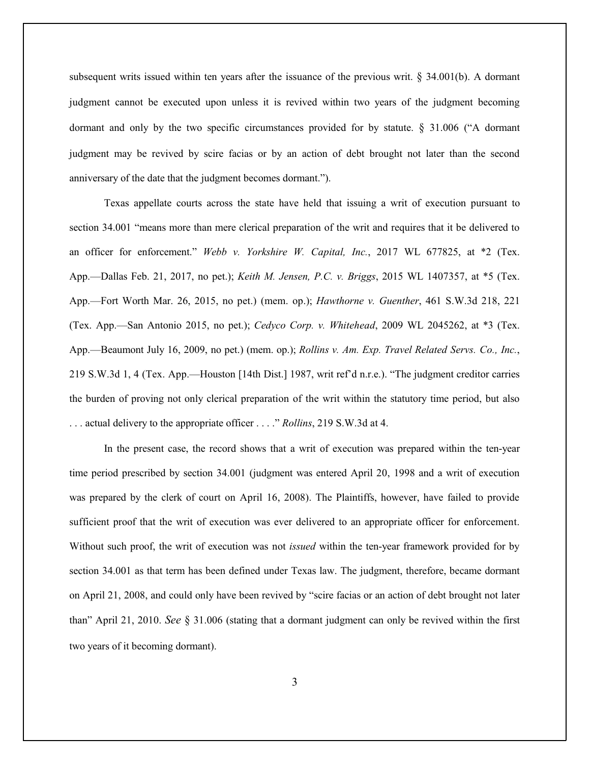subsequent writs issued within ten years after the issuance of the previous writ.  $\S$  34.001(b). A dormant judgment cannot be executed upon unless it is revived within two years of the judgment becoming dormant and only by the two specific circumstances provided for by statute. § 31.006 ("A dormant judgment may be revived by scire facias or by an action of debt brought not later than the second anniversary of the date that the judgment becomes dormant.").

Texas appellate courts across the state have held that issuing a writ of execution pursuant to section 34.001 "means more than mere clerical preparation of the writ and requires that it be delivered to an officer for enforcement." *Webb v. Yorkshire W. Capital, Inc.*, 2017 WL 677825, at \*2 (Tex. App.—Dallas Feb. 21, 2017, no pet.); *Keith M. Jensen, P.C. v. Briggs*, 2015 WL 1407357, at \*5 (Tex. App.—Fort Worth Mar. 26, 2015, no pet.) (mem. op.); *Hawthorne v. Guenther*, 461 S.W.3d 218, 221 (Tex. App.—San Antonio 2015, no pet.); *Cedyco Corp. v. Whitehead*, 2009 WL 2045262, at \*3 (Tex. App.—Beaumont July 16, 2009, no pet.) (mem. op.); *Rollins v. Am. Exp. Travel Related Servs. Co., Inc.*, 219 S.W.3d 1, 4 (Tex. App.—Houston [14th Dist.] 1987, writ ref'd n.r.e.). "The judgment creditor carries the burden of proving not only clerical preparation of the writ within the statutory time period, but also . . . actual delivery to the appropriate officer . . . ." *Rollins*, 219 S.W.3d at 4.

In the present case, the record shows that a writ of execution was prepared within the ten-year time period prescribed by section 34.001 (judgment was entered April 20, 1998 and a writ of execution was prepared by the clerk of court on April 16, 2008). The Plaintiffs, however, have failed to provide sufficient proof that the writ of execution was ever delivered to an appropriate officer for enforcement. Without such proof, the writ of execution was not *issued* within the ten-year framework provided for by section 34.001 as that term has been defined under Texas law. The judgment, therefore, became dormant on April 21, 2008, and could only have been revived by "scire facias or an action of debt brought not later than" April 21, 2010. *See* § 31.006 (stating that a dormant judgment can only be revived within the first two years of it becoming dormant).